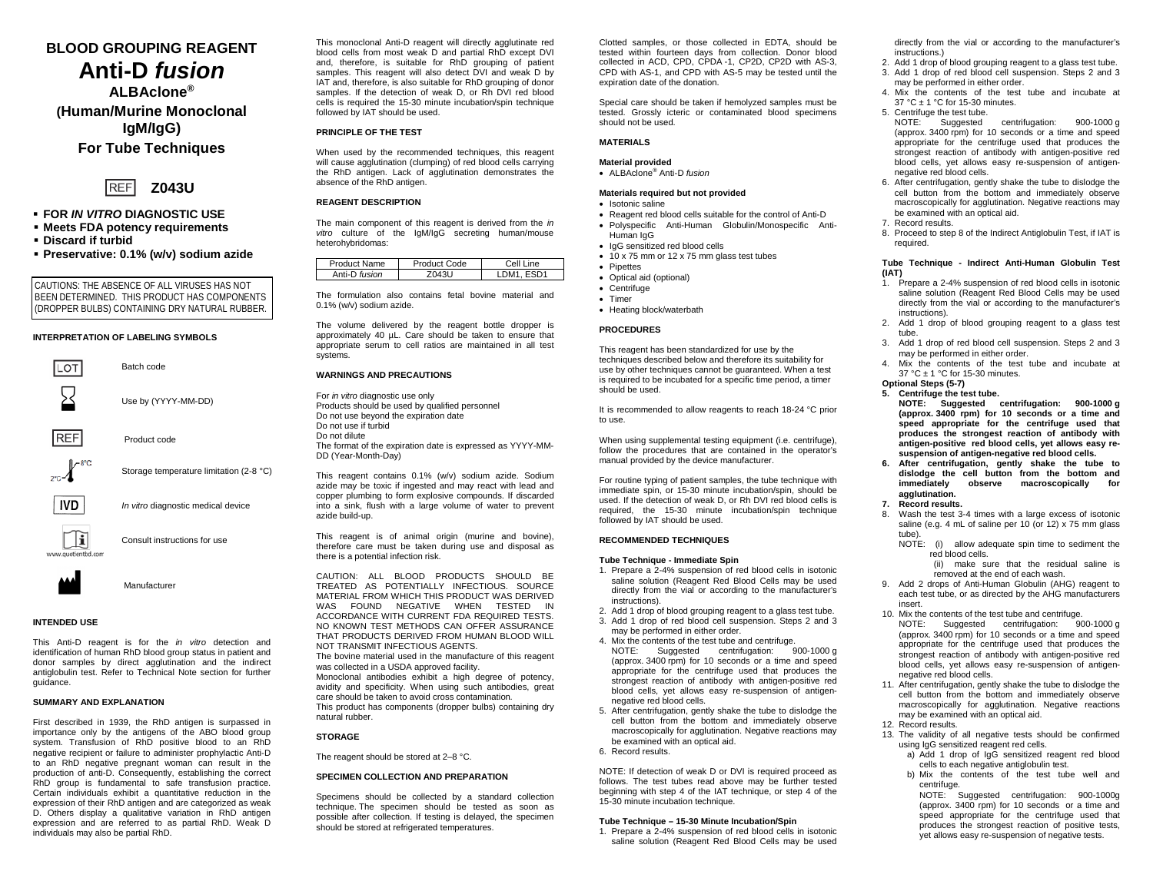# **BLOOD GROUPING REAGENT Anti-D** *fusion*

**ALBAclone® (Human/Murine Monoclonal IgM/IgG) For Tube Techniques**



- **FOR** *IN VITRO* **DIAGNOSTIC USE**
- **Meets FDA potency requirements**
- **Discard if turbid**
- **Preservative: 0.1% (w/v) sodium azide**

CAUTIONS: THE ABSENCE OF ALL VIRUSES HAS NOT BEEN DETERMINED. THIS PRODUCT HAS COMPONENTS (DROPPER BULBS) CONTAINING DRY NATURAL RUBBER.

# **INTERPRETATION OF LABELING SYMBOLS**



**INTENDED USE**

This Anti-D reagent is for the *in vitro* detection and identification of human RhD blood group status in patient and donor samples by direct agglutination and the indirect antiglobulin test. Refer to Technical Note section for further guidance.

#### **SUMMARY AND EXPLANATION**

First described in 1939, the RhD antigen is surpassed in importance only by the antigens of the ABO blood group system. Transfusion of RhD positive blood to an RhD negative recipient or failure to administer prophylactic Anti-D to an RhD negative pregnant woman can result in the production of anti-D. Consequently, establishing the correct RhD group is fundamental to safe transfusion practice. Certain individuals exhibit a quantitative reduction in the expression of their RhD antigen and are categorized as weak D. Others display a qualitative variation in RhD antigen expression and are referred to as partial RhD. Weak D individuals may also be partial RhD.

This monoclonal Anti-D reagent will directly agglutinate red blood cells from most weak D and partial RhD except DVI and, therefore, is suitable for RhD grouping of patient samples. This reagent will also detect DVI and weak D by IAT and, therefore, is also suitable for RhD grouping of donor samples. If the detection of weak D, or Rh DVI red blood cells is required the 15-30 minute incubation/spin technique followed by IAT should be used.

# **PRINCIPLE OF THE TEST**

When used by the recommended techniques, this reagent will cause agglutination (clumping) of red blood cells carrying the RhD antigen. Lack of agglutination demonstrates the absence of the RhD antigen.

### **REAGENT DESCRIPTION**

The main component of this reagent is derived from the *in vitro* culture of the IgM/IgG secreting human/mouse heterohybridomas:

| <b>Product Name</b> | Product Code | Cell<br>ine. |
|---------------------|--------------|--------------|
| Anti-D fusion       | 1431'        | <b>JRA4</b>  |

The formulation also contains fetal bovine material and 0.1% (w/v) sodium azide.

The volume delivered by the reagent bottle dropper is approximately 40 µL. Care should be taken to ensure that appropriate serum to cell ratios are maintained in all test systems.

## **WARNINGS AND PRECAUTIONS**

For *in vitro* diagnostic use only Products should be used by qualified personnel Do not use beyond the expiration date Do not use if turbid Do not dilute The format of the expiration date is expressed as YYYY-MM-DD (Year-Month-Day)

This reagent contains 0.1% (w/v) sodium azide. Sodium azide may be toxic if ingested and may react with lead and copper plumbing to form explosive compounds. If discarded into a sink, flush with a large volume of water to prevent azide build-up.

This reagent is of animal origin (murine and bovine), therefore care must be taken during use and disposal as there is a potential infection risk.

CAUTION: ALL BLOOD PRODUCTS SHOULD BE TREATED AS POTENTIALLY INFECTIOUS. SOURCE MATERIAL FROM WHICH THIS PRODUCT WAS DERIVED WAS FOUND NEGATIVE WHEN TESTED IN ACCORDANCE WITH CURRENT FDA REQUIRED TESTS. NO KNOWN TEST METHODS CAN OFFER ASSURANCE THAT PRODUCTS DERIVED FROM HUMAN BLOOD WILL NOT TRANSMIT INFECTIOUS AGENTS.

The bovine material used in the manufacture of this reagent was collected in a USDA approved facility.

Monoclonal antibodies exhibit a high degree of potency, avidity and specificity. When using such antibodies, great care should be taken to avoid cross contamination*.*

This product has components (dropper bulbs) containing dry natural rubber.

# **STORAGE**

The reagent should be stored at 2–8 °C.

#### **SPECIMEN COLLECTION AND PREPARATION**

Specimens should be collected by a standard collection technique. The specimen should be tested as soon as possible after collection. If testing is delayed, the specimen should be stored at refrigerated temperatures.

Clotted samples, or those collected in EDTA, should be tested within fourteen days from collection. Donor blood collected in ACD, CPD, CPDA -1, CP2D, CP2D with AS-3, CPD with AS-1, and CPD with AS-5 may be tested until the expiration date of the donation.

Special care should be taken if hemolyzed samples must be tested. Grossly icteric or contaminated blood specimens should not be used.

#### **MATERIALS**

#### **Material provided**

• ALBAclone® Anti-D *fusion*

## **Materials required but not provided**

- Isotonic saline
- Reagent red blood cells suitable for the control of Anti-D
- Polyspecific Anti-Human Globulin/Monospecific Anti-Human IgG
- IgG sensitized red blood cells
- 10 x 75 mm or 12 x 75 mm glass test tubes
- Pipettes
- Optical aid (optional)
- Centrifuge
	- Timer
	- Heating block/waterbath

# **PROCEDURES**

This reagent has been standardized for use by the techniques described below and therefore its suitability for use by other techniques cannot be guaranteed. When a test is required to be incubated for a specific time period, a timer should be used.

It is recommended to allow reagents to reach 18-24 °C prior to use.

When using supplemental testing equipment (i.e. centrifuge), follow the procedures that are contained in the operator's manual provided by the device manufacturer.

For routine typing of patient samples, the tube technique with immediate spin, or 15-30 minute incubation/spin, should be used. If the detection of weak D, or Rh DVI red blood cells is required, the 15-30 minute incubation/spin technique followed by IAT should be used.

## **RECOMMENDED TECHNIQUES**

#### **Tube Technique - Immediate Spin**

- 1. Prepare a 2-4% suspension of red blood cells in isotonic saline solution (Reagent Red Blood Cells may be used directly from the vial or according to the manufacturer's instructions).
- 2. Add 1 drop of blood grouping reagent to a glass test tube.
- 3. Add 1 drop of red blood cell suspension. Steps 2 and 3 may be performed in either order.
- 4. Mix the contents of the test tube and centrifuge.<br>NOTE: Suggested centrifugation: 900-1000 g NOTE: Suggested centrifugation: (approx. 3400 rpm) for 10 seconds or a time and speed appropriate for the centrifuge used that produces the strongest reaction of antibody with antigen-positive red blood cells, yet allows easy re-suspension of antigennegative red blood cells.
- 5. After centrifugation, gently shake the tube to dislodge the cell button from the bottom and immediately observe macroscopically for agglutination. Negative reactions may be examined with an optical aid.
- 6. Record results.

NOTE: If detection of weak D or DVI is required proceed as follows. The test tubes read above may be further tested beginning with step 4 of the IAT technique, or step 4 of the 15-30 minute incubation technique.

#### **Tube Technique – 15-30 Minute Incubation/Spin**

1. Prepare a 2-4% suspension of red blood cells in isotonic saline solution (Reagent Red Blood Cells may be used directly from the vial or according to the manufacturer's instructions.)

- 2. Add 1 drop of blood grouping reagent to a glass test tube. 3. Add 1 drop of red blood cell suspension. Steps 2 and 3
- may be performed in either order. 4. Mix the contents of the test tube and incubate at
- 37 °C ± 1 °C for 15-30 minutes.
- 5. Centrifuge the test tube.<br>NOTE: Suggested centrifugation: 900-1000 g (approx. 3400 rpm) for 10 seconds or a time and speed appropriate for the centrifuge used that produces the strongest reaction of antibody with antigen-positive red blood cells, yet allows easy re-suspension of antigennegative red blood cells.
- 6. After centrifugation, gently shake the tube to dislodge the cell button from the bottom and immediately observe macroscopically for agglutination. Negative reactions may be examined with an optical aid.
- 7. Record results.
- 8. Proceed to step 8 of the Indirect Antiglobulin Test, if IAT is required.

#### **Tube Technique - Indirect Anti-Human Globulin Test (IAT)**

- 1. Prepare a 2-4% suspension of red blood cells in isotonic saline solution (Reagent Red Blood Cells may be used directly from the vial or according to the manufacturer's instructions).
- 2. Add 1 drop of blood grouping reagent to a glass test tube.
- 3. Add 1 drop of red blood cell suspension. Steps 2 and 3 may be performed in either order.
- 4. Mix the contents of the test tube and incubate at 37 °C ± 1 °C for 15-30 minutes.
- **Optional Steps (5-7)**

**5. Centrifuge the test tube. NOTE: Suggested centrifugation: 900-1000 g (approx. 3400 rpm) for 10 seconds or a time and speed appropriate for the centrifuge used that produces the strongest reaction of antibody with antigen-positive red blood cells, yet allows easy resuspension of antigen-negative red blood cells.**

- **6. After centrifugation, gently shake the tube to dislodge the cell button from the bottom and immediately observe macroscopically for agglutination.**
- **7. Record results.**
- Wash the test 3-4 times with a large excess of isotonic saline (e.g. 4 mL of saline per 10 (or 12) x 75 mm glass tube).
- NOTE: (i) allow adequate spin time to sediment the red blood cells.
	- (ii) make sure that the residual saline is removed at the end of each wash.
- 9. Add 2 drops of Anti-Human Globulin (AHG) reagent to each test tube, or as directed by the AHG manufacturers insert.
- 10. Mix the contents of the test tube and centrifuge. NOTE: Suggested centrifugation: 900-1000 g (approx. 3400 rpm) for 10 seconds or a time and speed appropriate for the centrifuge used that produces the strongest reaction of antibody with antigen-positive red blood cells, yet allows easy re-suspension of antigennegative red blood cells.
- 11. After centrifugation, gently shake the tube to dislodge the cell button from the bottom and immediately observe macroscopically for agglutination. Negative reactions may be examined with an optical aid.
- 12. Record results. 13. The validity of all negative tests should be confirmed using IgG sensitized reagent red cells.
	- a) Add 1 drop of IgG sensitized reagent red blood cells to each negative antiglobulin test.
	- b) Mix the contents of the test tube well and centrifuge.

NOTE: Suggested centrifugation: 900-1000g (approx. 3400 rpm) for 10 seconds or a time and speed appropriate for the centrifuge used that produces the strongest reaction of positive tests, yet allows easy re-suspension of negative tests.